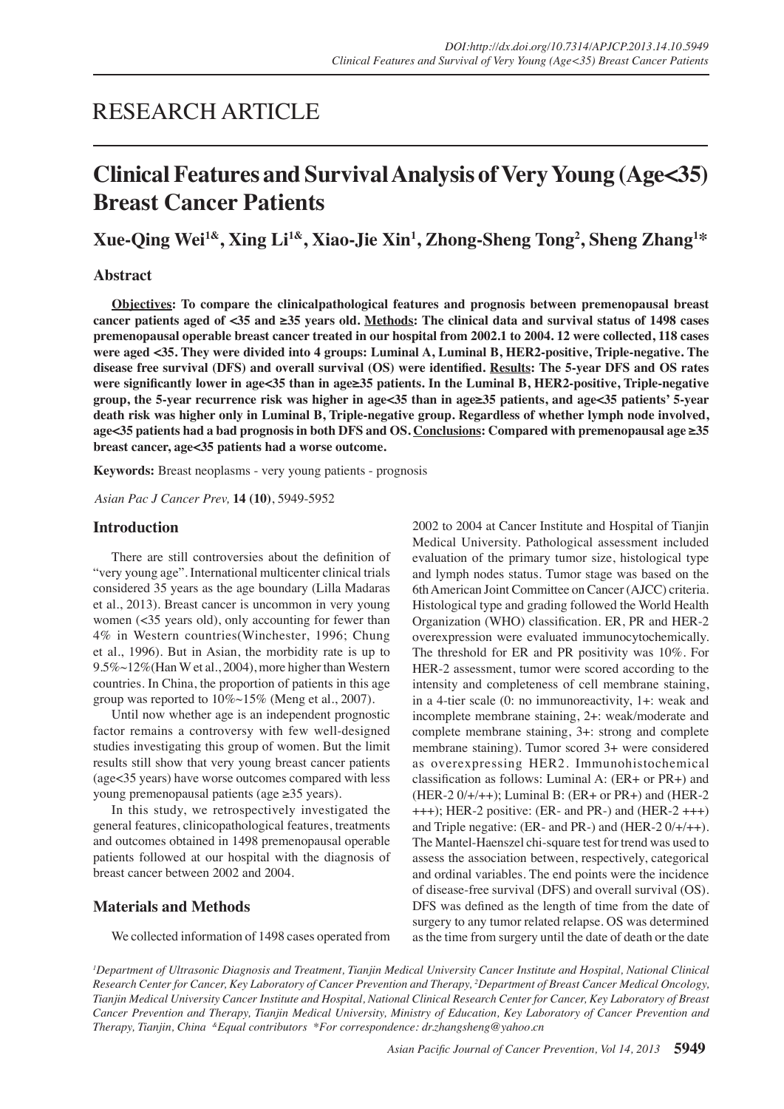# RESEARCH ARTICLE

# **Clinical Features and Survival Analysis of Very Young (Age<35) Breast Cancer Patients**

**Xue-Qing Wei1&, Xing Li1&, Xiao-Jie Xin<sup>1</sup> , Zhong-Sheng Tong<sup>2</sup> , Sheng Zhang<sup>1</sup> \***

### **Abstract**

**Objectives: To compare the clinicalpathological features and prognosis between premenopausal breast cancer patients aged of <35 and ≥35 years old. Methods: The clinical data and survival status of 1498 cases premenopausal operable breast cancer treated in our hospital from 2002.1 to 2004. 12 were collected, 118 cases were aged <35. They were divided into 4 groups: Luminal A, Luminal B, HER2-positive, Triple-negative. The disease free survival (DFS) and overall survival (OS) were identified. Results: The 5-year DFS and OS rates were significantly lower in age<35 than in age≥35 patients. In the Luminal B, HER2-positive, Triple-negative group, the 5-year recurrence risk was higher in age<35 than in age≥35 patients, and age<35 patients' 5-year death risk was higher only in Luminal B, Triple-negative group. Regardless of whether lymph node involved, age<35 patients had a bad prognosis in both DFS and OS. Conclusions: Compared with premenopausal age ≥35 breast cancer, age<35 patients had a worse outcome.**

**Keywords:** Breast neoplasms - very young patients - prognosis

*Asian Pac J Cancer Prev,* **14 (10)**, 5949-5952

### **Introduction**

 There are still controversies about the definition of "very young age". International multicenter clinical trials considered 35 years as the age boundary (Lilla Madaras et al., 2013). Breast cancer is uncommon in very young women (<35 years old), only accounting for fewer than 4% in Western countries(Winchester, 1996; Chung et al., 1996). But in Asian, the morbidity rate is up to 9.5%~12%(Han W et al., 2004), more higher than Western countries. In China, the proportion of patients in this age group was reported to 10%~15% (Meng et al., 2007).

Until now whether age is an independent prognostic factor remains a controversy with few well-designed studies investigating this group of women. But the limit results still show that very young breast cancer patients (age<35 years) have worse outcomes compared with less young premenopausal patients (age ≥35 years).

In this study, we retrospectively investigated the general features, clinicopathological features, treatments and outcomes obtained in 1498 premenopausal operable patients followed at our hospital with the diagnosis of breast cancer between 2002 and 2004.

### **Materials and Methods**

 We collected information of 1498 cases operated from

2002 to 2004 at Cancer Institute and Hospital of Tianjin Medical University. Pathological assessment included evaluation of the primary tumor size, histological type and lymph nodes status. Tumor stage was based on the 6th American Joint Committee on Cancer (AJCC) criteria. Histological type and grading followed the World Health Organization (WHO) classification. ER, PR and HER-2 overexpression were evaluated immunocytochemically. The threshold for ER and PR positivity was 10%. For HER-2 assessment, tumor were scored according to the intensity and completeness of cell membrane staining, in a 4-tier scale (0: no immunoreactivity, 1+: weak and incomplete membrane staining, 2+: weak/moderate and complete membrane staining, 3+: strong and complete membrane staining). Tumor scored 3+ were considered as overexpressing HER2. Immunohistochemical classification as follows: Luminal A: (ER+ or PR+) and (HER-2 0/+/++); Luminal B: (ER+ or PR+) and (HER-2 +++); HER-2 positive: (ER- and PR-) and (HER-2 +++) and Triple negative: (ER- and PR-) and (HER-2 0/+/++). The Mantel-Haenszel chi-square test for trend was used to assess the association between, respectively, categorical and ordinal variables. The end points were the incidence of disease-free survival (DFS) and overall survival (OS). DFS was defined as the length of time from the date of surgery to any tumor related relapse. OS was determined as the time from surgery until the date of death or the date

*1 Department of Ultrasonic Diagnosis and Treatment, Tianjin Medical University Cancer Institute and Hospital, National Clinical Research Center for Cancer, Key Laboratory of Cancer Prevention and Therapy, 2 Department of Breast Cancer Medical Oncology, Tianjin Medical University Cancer Institute and Hospital, National Clinical Research Center for Cancer, Key Laboratory of Breast Cancer Prevention and Therapy, Tianjin Medical University, Ministry of Education, Key Laboratory of Cancer Prevention and Therapy, Tianjin, China &Equal contributors \*For correspondence: dr.zhangsheng@yahoo.cn*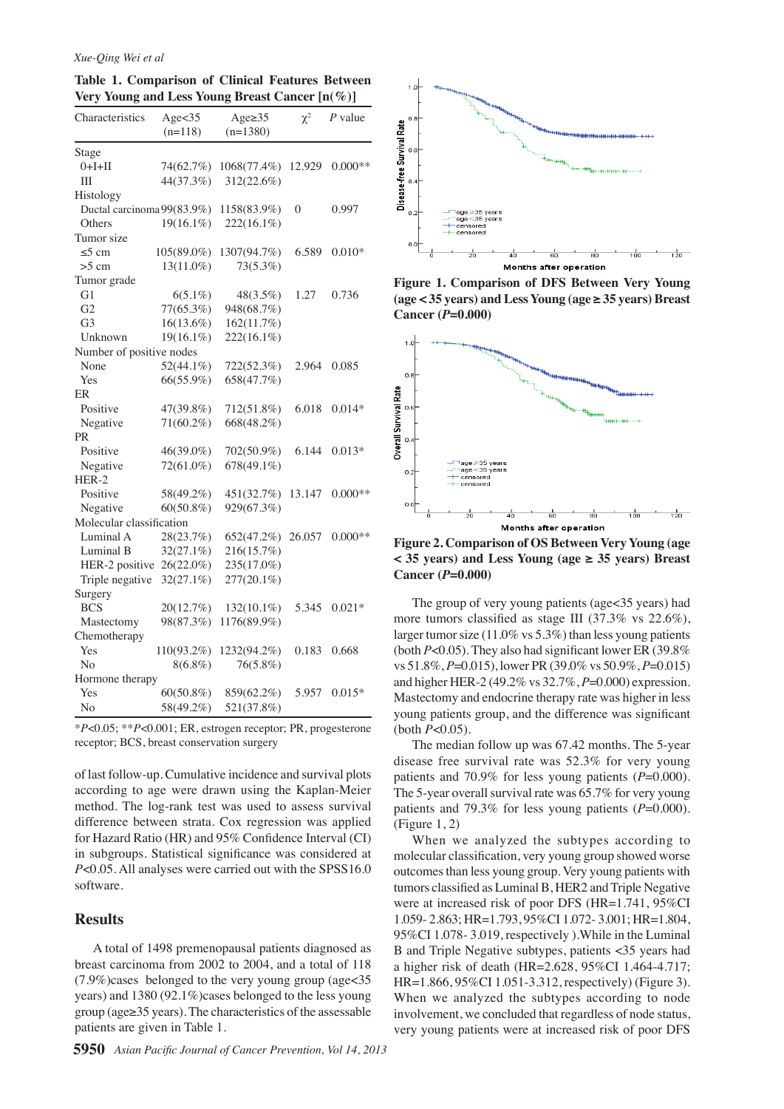#### *Xue-Qing Wei et al*

**Table 1. Comparison of Clinical Features Between Very Young and Less Young Breast Cancer [n(%)]**

| Characteristics            | Age $<$ 35   | Age $\geq$ 35 | $\chi^2$     | $P$ value |
|----------------------------|--------------|---------------|--------------|-----------|
|                            | $(n=118)$    | $(n=1380)$    |              |           |
| Stage                      |              |               |              |           |
| $0+I+II$                   | 74(62.7%)    | 1068(77.4%)   | 12.929       | $0.000**$ |
| Ш                          | 44(37.3%)    | 312(22.6%)    |              |           |
| Histology                  |              |               |              |           |
| Ductal carcinoma 99(83.9%) |              | 1158(83.9%)   | $\mathbf{0}$ | 0.997     |
| Others                     | $19(16.1\%)$ | 222(16.1%)    |              |           |
| Tumor size                 |              |               |              |           |
| $\leq$ 5 cm                | 105(89.0%)   | 1307(94.7%)   | 6.589        | $0.010*$  |
| $>5$ cm                    | 13(11.0%)    | 73(5.3%)      |              |           |
| Tumor grade                |              |               |              |           |
| G1                         | $6(5.1\%)$   | $48(3.5\%)$   | 1.27         | 0.736     |
| G <sub>2</sub>             | 77(65.3%)    | 948(68.7%)    |              |           |
| G <sub>3</sub>             | $16(13.6\%)$ | 162(11.7%)    |              |           |
| Unknown                    | $19(16.1\%)$ | 222(16.1%)    |              |           |
| Number of positive nodes   |              |               |              |           |
| None                       | 52(44.1%)    | 722(52.3%)    | 2.964        | 0.085     |
| Yes                        | 66(55.9%)    | 658(47.7%)    |              |           |
| ER                         |              |               |              |           |
| Positive                   | 47(39.8%)    | 712(51.8%)    | 6.018        | $0.014*$  |
| Negative                   | $71(60.2\%)$ | 668(48.2%)    |              |           |
| PR                         |              |               |              |           |
| Positive                   | 46(39.0%)    | 702(50.9%)    | 6.144        | $0.013*$  |
| Negative                   | 72(61.0%)    | 678(49.1%)    |              |           |
| $HER-2$                    |              |               |              |           |
| Positive                   | 58(49.2%)    | 451(32.7%)    | 13.147       | $0.000**$ |
| Negative                   | $60(50.8\%)$ | 929(67.3%)    |              |           |
| Molecular classification   |              |               |              |           |
| Luminal A                  | 28(23.7%)    | 652(47.2%)    | 26.057       | $0.000**$ |
| Luminal B                  | $32(27.1\%)$ | 216(15.7%)    |              |           |
| HER-2 positive             | 26(22.0%)    | 235(17.0%)    |              |           |
| Triple negative            | 32(27.1%)    | 277(20.1%)    |              |           |
| Surgery                    |              |               |              |           |
| <b>BCS</b>                 | 20(12.7%)    | 132(10.1%)    | 5.345        | $0.021*$  |
| Mastectomy                 | 98(87.3%)    | 1176(89.9%)   |              |           |
| Chemotherapy               |              |               |              |           |
| Yes                        | 110(93.2%)   | 1232(94.2%)   | 0.183        | 0.668     |
| No                         | $8(6.8\%)$   | 76(5.8%)      |              |           |
| Hormone therapy            |              |               |              |           |
| Yes                        | $60(50.8\%)$ | 859(62.2%)    | 5.957        | $0.015*$  |
| No                         | 58(49.2%)    | 521(37.8%)    |              |           |

\**P*<0.05; \*\**P*<0.001; ER, estrogen receptor; PR, progesterone receptor; BCS, breast conservation surgery

of last follow-up. Cumulative incidence and survival plots according to age were drawn using the Kaplan-Meier method. The log-rank test was used to assess survival difference between strata. Cox regression was applied for Hazard Ratio (HR) and 95% Confidence Interval (CI) in subgroups. Statistical significance was considered at *P*<0.05. All analyses were carried out with the SPSS16.0 software.

#### **Results**

A total of 1498 premenopausal patients diagnosed as breast carcinoma from 2002 to 2004, and a total of 118 (7.9%)cases belonged to the very young group (age<35 years) and 1380 (92.1%)cases belonged to the less young group (age≥35 years). The characteristics of the assessable patients are given in Table 1.



**Figure 1. Comparison of DFS Between Very Young (age < 35 years) and Less Young (age ≥ 35 years) Breast Cancer (***P***=0.000)** 



**Figure 2. Comparison of OS Between Very Young (age < 35 years) and Less Young (age ≥ 35 years) Breast Cancer (***P***=0.000)**

 The group of very young patients (age<35 years) had more tumors classified as stage Ⅲ (37.3% vs 22.6%), larger tumor size  $(11.0\% \text{ vs } 5.3\%)$  than less young patients (both *P*<0.05). They also had significant lower ER (39.8% vs 51.8%, *P*=0.015), lower PR (39.0% vs 50.9%, *P*=0.015) and higher HER-2 (49.2% vs 32.7%, *P*=0.000) expression. Mastectomy and endocrine therapy rate was higher in less young patients group, and the difference was significant (both *P*<0.05).

 The median follow up was 67.42 months. The 5-year disease free survival rate was 52.3% for very young patients and 70.9% for less young patients (*P*=0.000). The 5-year overall survival rate was  $65.7\%$  for very young patients and 79.3% for less young patients (*P*=0.000). (Figure 1, 2)

 When we analyzed the subtypes according to molecular classification, very young group showed worse outcomes than less young group. Very young patients with tumors classified as Luminal B, HER2 and Triple Negative were at increased risk of poor DFS (HR=1.741, 95%CI 1.059- 2.863; HR=1.793, 95%CI 1.072- 3.001; HR=1.804, 95%CI 1.078- 3.019, respectively ).While in the Luminal B and Triple Negative subtypes, patients <35 years had a higher risk of death (HR=2.628, 95%CI 1.464-4.717; HR=1.866, 95%CI 1.051-3.312, respectively) (Figure 3). When we analyzed the subtypes according to node involvement, we concluded that regardless of node status, very young patients were at increased risk of poor DFS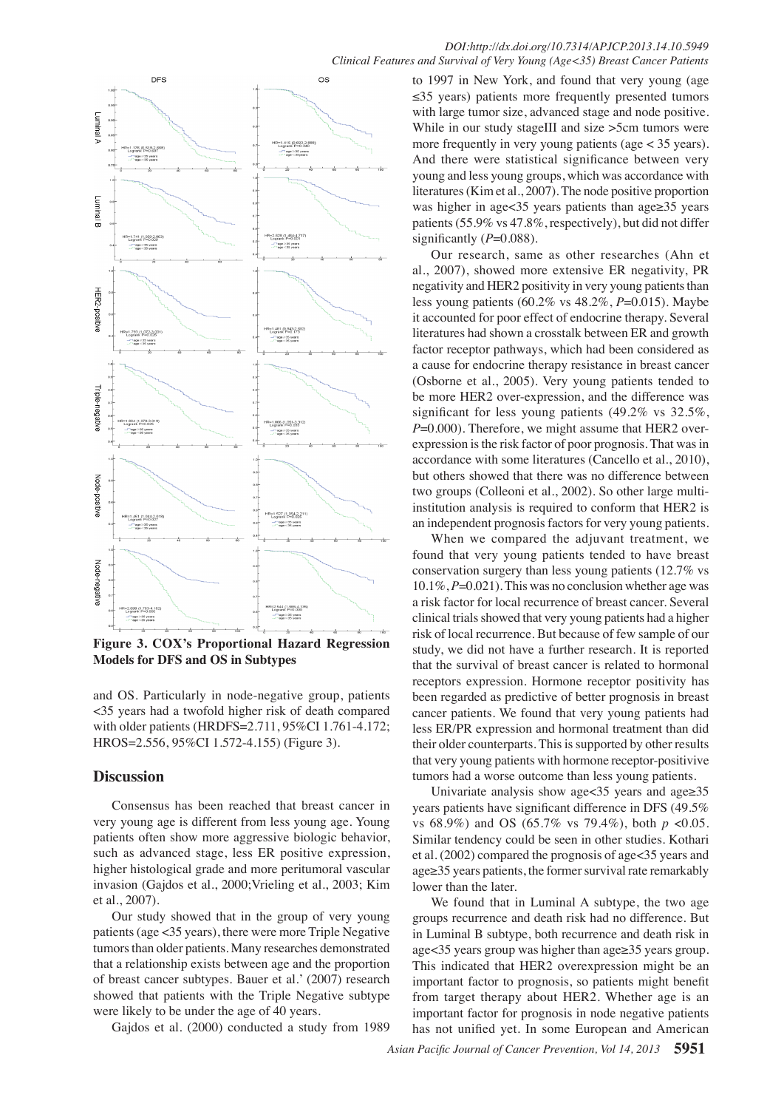

**Figure 3. COX's Proportional Hazard Regression Models for DFS and OS in Subtypes** 

and OS. Particularly in node-negative group, patients <35 years had a twofold higher risk of death compared with older patients (HRDFS=2.711, 95%CI 1.761-4.172; HROS=2.556, 95%CI 1.572-4.155) (Figure 3).

## **Discussion**

Consensus has been reached that breast cancer in very young age is different from less young age. Young patients often show more aggressive biologic behavior, such as advanced stage, less ER positive expression, higher histological grade and more peritumoral vascular invasion (Gajdos et al., 2000;Vrieling et al., 2003; Kim et al., 2007).

Our study showed that in the group of very young patients(age <35 years), there were more Triple Negative tumors than older patients. Many researches demonstrated that a relationship exists between age and the proportion of breast cancer subtypes. Bauer et al.' (2007) research showed that patients with the Triple Negative subtype were likely to be under the age of 40 years.

Gajdos et al. (2000) conducted a study from 1989

100.0 to 1997 in New York, and found that very young (age ≤35 years) patients more frequently presented tumors with large tumor size, advanced stage and node positive. While in our study stageⅢ and size >5cm tumors were more frequently in very young patients (age < 35 years). And there were statistical significance between very young and less young groups, which was accordance with literatures (Kim et al., 2007). The node positive proportion was higher in age<35 years patients than age≥35 years patients(55.9% vs 47.8%, respectively), but did not differ significantly  $(P=0.088)$ .

0 be more HER2 over-expression, and the difference was 25.0 factor receptor pathways, which had been considered as 50.0 negativity and HER2 positivity in very young patients than **75.0** Our research, same as other researches (Ahn et al., 2007), showed more extensive ER negativity, PR less young patients (60.2% vs 48.2%, *P*=0.015). Maybe it accounted for poor effect of endocrine therapy. Several literatures had shown a crosstalk between ER and growth a cause for endocrine therapy resistance in breast cancer (Osborne et al., 2005). Very young patients tended to significant for less young patients (49.2% vs 32.5%, *P*=0.000). Therefore, we might assume that HER2 overexpression is the risk factor of poor prognosis. That was in accordance with some literatures (Cancello et al., 2010), but others showed that there was no difference between two groups (Colleoni et al., 2002). So other large multiinstitution analysis is required to conform that HER2 is an independent prognosis factors for very young patients.

When we compared the adjuvant treatment, we found that very young patients tended to have breast conservation surgery than less young patients (12.7% vs 10.1%, *P*=0.021). This was no conclusion whether age was a risk factor for local recurrence of breast cancer. Several clinical trials showed that very young patients had a higher risk of local recurrence. But because of few sample of our study, we did not have a further research. It is reported that the survival of breast cancer is related to hormonal receptors expression. Hormone receptor positivity has been regarded as predictive of better prognosis in breast cancer patients. We found that very young patients had less ER/PR expression and hormonal treatment than did their older counterparts. This is supported by other results that very young patients with hormone receptor-positivive tumors had a worse outcome than less young patients.

Univariate analysis show age<35 years and age≥35 years patients have significant difference in DFS (49.5% vs 68.9%) and OS (65.7% vs 79.4%), both *p* <0.05. Similar tendency could be seen in other studies. Kothari et al. (2002) compared the prognosis of age<35 years and  $age \geq 35$  years patients, the former survival rate remarkably lower than the later.

We found that in Luminal A subtype, the two age groups recurrence and death risk had no difference. But in Luminal B subtype, both recurrence and death risk in age<35 years group was higher than age≥35 years group. This indicated that HER2 overexpression might be an important factor to prognosis, so patients might benefit from target therapy about HER2. Whether age is an important factor for prognosis in node negative patients has not unified yet. In some European and American

**20.3 6.3 10.1**